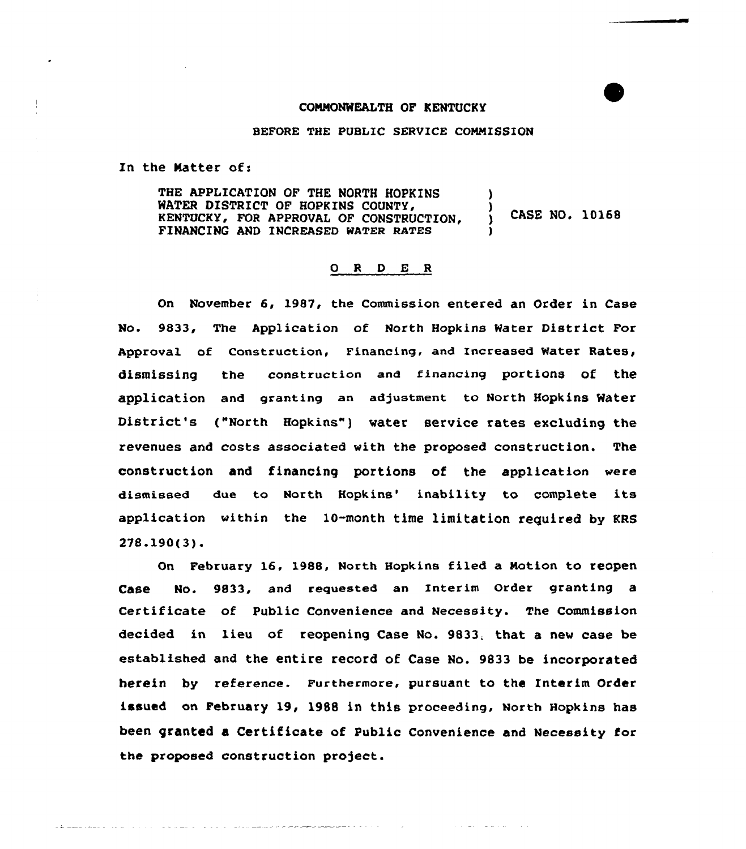#### COMMONWEALTH OF KENTUCKY

BEFORE THE PUBLIC SERVICE COMMISSION

In the Matter of:

THE APPLICATION OF THE NORTH HOPKINS WATER DISTRICT OF HOPKINS COUNTY, KENTUCKY, FOR APPROVAL OF CONSTRUCTION, FINANCING AND INCREASED WATER RATES ) ) ) CASE NO. 10168 )

### O R D E R

On November 6, 198?, the Cammission entered an Order in Case No. 9833, The Application of North Hopkins Water District For Approval of Construction, Financing, and Increased Mater Rates, dismissing the construction and financing portions of the application and granting an adjustment to North Hopkins Water District's ("North Hapkins") water service rates excluding the zevenues and costs associated with the proposed construction. The construction and financing portions of the applicatian were dismissed due to North Hopkins' inability to complete its application within the 10-month time limitation required by KRS 2?8.190(3).

On February 16, 1988, North Hopkins filed a Motion to reopen Case No. 9833, and requested an Interim order granting a Certificate of Public Convenience and Necessity. The Commission decided in lieu of reopening Case No. 9833, that a new case be established and the entire record of Case No. 9833 be incorporated herein by reference. Furthermore, pursuant to the Interim Order issued on February 19, 1988 in this proceeding, North Hopkins has been granted a Certificate of Public Convenience and Necessity for the proposed construction project.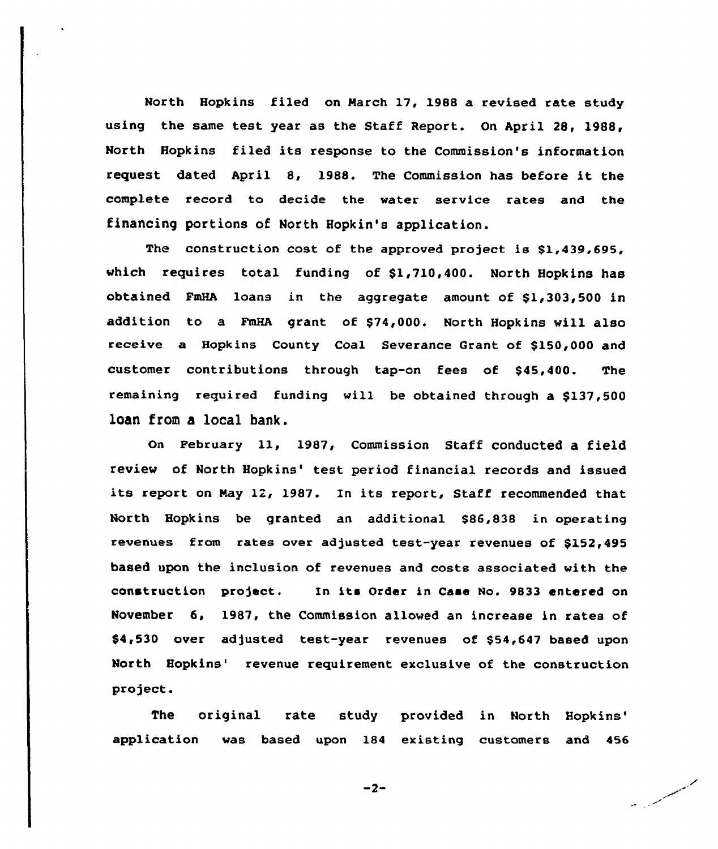North Hopkins filed on March 17, 1988 a revised rate study using the same test year as the Staff Report. On April 28, 1988, North Hopkins filed its response to the Commission's information request dated April S, 1988. The Commission has before it the complete record to decide the water service rates and the financing portions of North Hopkin's application.

The construction cost of the approved project is \$1,439,695, which requires total funding of \$1,710,400. North Hopkins has obtained FmHA loans in the aggregate amount of \$1,303,500 in addition to a FmHA grant of \$74,000. North Hopkins will also receive a Hopkins County Coal Severance Grant of \$150,000 and customer contributions through tap-on fees of \$45,400. The remaining required funding vill be obtained through a \$137,500 loan fron a local bank.

on February 11, 1987, commission staff conducted a field review of North Hopkins' test period financial records and issued its report on May 12, 1987. In its report, Staff recommended that North Hopkins be granted an additional \$86,838 in operating revenues from rates over adjusted test-year revenues of \$152,495 based upon the inclusion of revenues and costs associated with the construction project. In its Order in Case No. 9833 entered on November 6, 1987, the Commission allowed an increase in rates of \$4,530 over adjusted test-year revenues of \$54,647 based upon North Hopkins' revenue requirement exclusive of the construction project.

The original rate study provided in North Hopkins' application was based upon 184 existing customers and 456

 $-2-$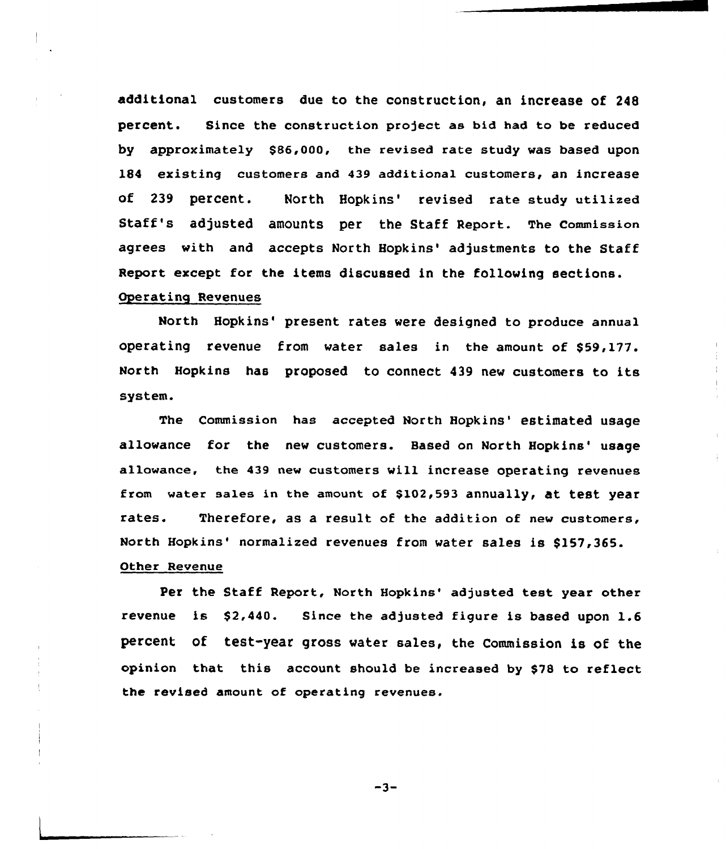additional customers due to the construction, an increase of 248 percent. Since the construction project ss bid had to be reduced by approximately \$86,000, the revised rate study was based upon 184 existing customers and 439 additional customers, an increase of 239 percent. North Hopkins'evised rate study utilized Staff's adjusted amounts per the Staff Report. The Commission agrees with and accepts North Hopkins' adjustments to the Staff Report except for the items discussed in the folloving sections.

# Operating Revenues

North Hopkins' present rates were designed to produce annual operating revenue from water sales in the amount of \$59,177. North Hopkins has proposed to connect 439 new customers to its system <sup>~</sup>

The Commission has accepted North Hopkins' estimated usage allowance for the new customers. Based on North Hopkins' usage allowance, the 439 nev customers vill increase operating revenues from water sales in the amount of \$102,593 annually, at test year rates. Therefore, as a result of the addition of nev customers, North Hopkins' normalized revenues from water sales is \$157,365. Other Revenue

Per the Staff Report, North Hopkins' adjusted test year other revenue is \$2,440. Since the adjusted figure is based upon 1.6 percent of test-year gross water sales, the Commission is of the opinion that this account should be increased by \$78 to reflect the revised amount of operating revenues.

 $-3-$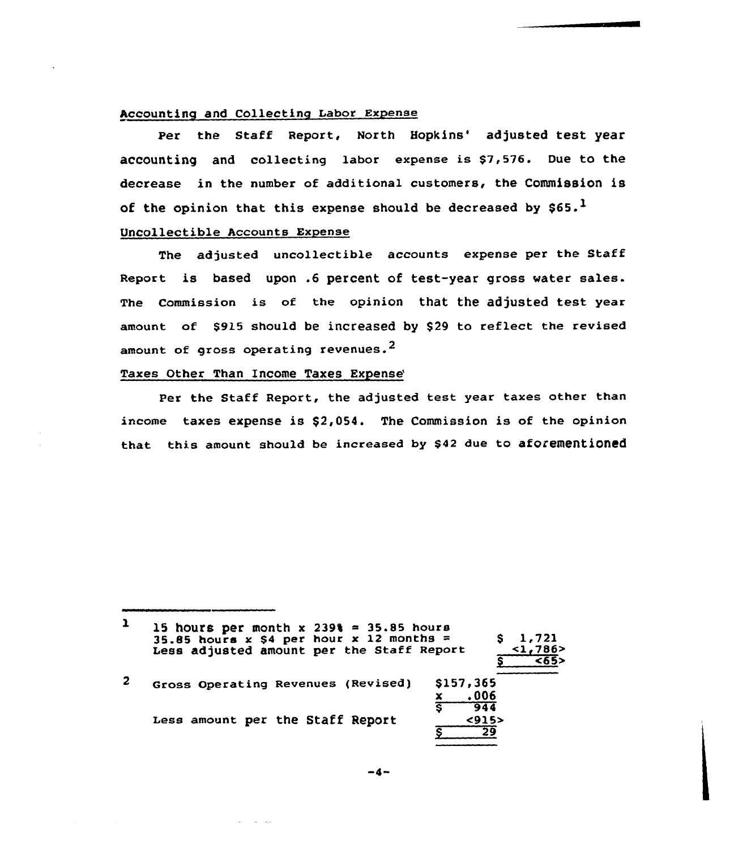## Accounting and Collecting Labor Expense

Per the Staff Report, North Hopkins' adjusted test year accounting and collecting labor expense is \$7,576. Due to the decrease in the number of additional customers, the Commission is of the opinion that this expense should be decreased by  $$65.<sup>1</sup>$ Uncollectible Accounts Expense

The adjusted uncollectible accounts expense per the Staff Report is based upon .6 percent of test-year gross water sales. The Commission is of the opinion that the adjusted test year amount of \$915 should be increased by \$29 to reflect the revised amount of gross operating revenues.<sup>2</sup>

# Taxes Other Than Income Taxes Expense

the Staff Report, the adjusted test year taxes other than income taxes expense is \$2,054. The Commission is of the opinion that this amount should be increased by \$42 due to aforementioned

 $\mathbf{r}$ 15 hours per month x  $239\frac{1}{5}$  = 35.85 hours 35.85 hours x \$4 per hour x 12 months =  $$ 1,721$ <br>Less adjusted amount per the Staff Report  $\frac{<1,786}{\sqrt{1,786}}$ \$ c65>  $\overline{2}$ Gross Operating Revenues (Revised) \$157,365<br>x .006  $x - .006$ <br>s 944 944 Less amount per the Staff RepOrt  $< 915$ \$ 29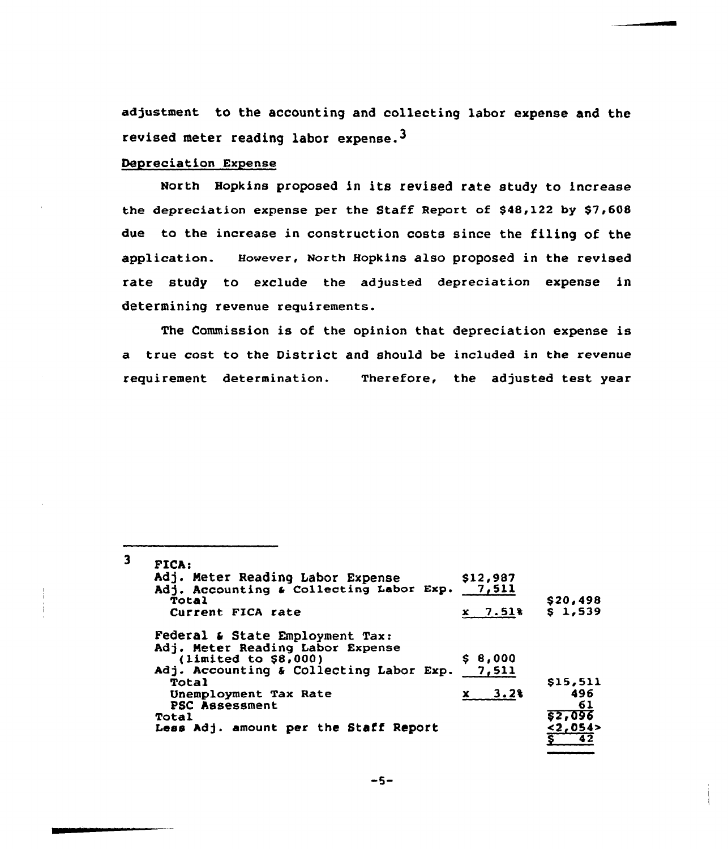adjustment to the accounting and collecting labor expense and the revised meter reading labor expense.<sup>3</sup>

# Depreciation Expense

North Hopkins proposed in its revised rate study to increase the depreciation expense per the Staff Report of \$48,122 by \$7,608 due to the increase in construction costs since the filing of the application. However, North Hopkins also proposed in the revised rate study to exclude the adjusted depreciation expense in determining revenue requirements.

The Commission is of the opinion that depreciation expense is a true cost to the District and should be included in the revenue requirement determination. Therefore, the adjusted test year

| 3 | <b>FICA:</b>                                                  |             |           |
|---|---------------------------------------------------------------|-------------|-----------|
|   | Adj. Meter Reading Labor Expense                              | \$12,987    |           |
|   | Adj. Accounting a Collecting Labor Exp. 7,511<br><b>Total</b> |             | \$20,498  |
|   | Current FICA rate                                             | $x = 7.518$ | \$1,539   |
|   | Federal & State Employment Tax:                               |             |           |
|   | Adj. Meter Reading Labor Expense                              |             |           |
|   | $(1)$ inited to $$8,000$ )                                    | \$8,000     |           |
|   | Adj. Accounting & Collecting Labor Exp.                       | 7,511       |           |
|   | Total                                                         |             | \$15,511  |
|   | Unemployment Tax Rate<br>PSC Assessment                       | 3.2%        | 496<br>61 |
|   | Total                                                         |             | 52,096    |
|   | Less Adj. amount per the Staff Report                         |             | 2,054     |
|   |                                                               |             |           |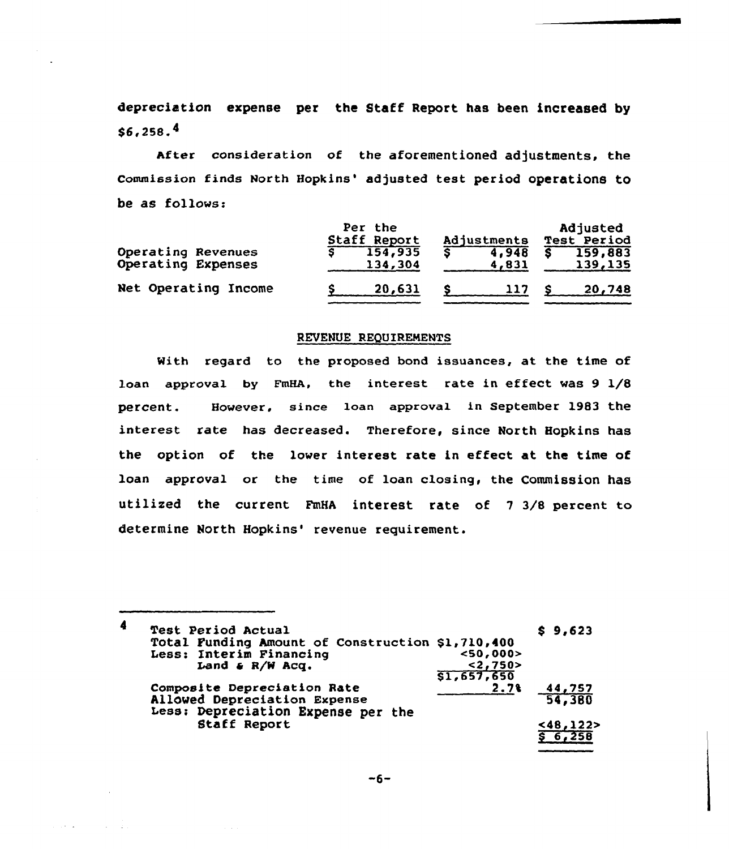depreciation expense per the Staff Report has been increased by \$6,258.4

After consideration of the aforementioned adjustments, the commission finds North Hopkins'djusted test period operations to be as follows:

|                                          | Per the<br>Staff Report |                | Adjustments    |    | Adjusted<br>Test Period |
|------------------------------------------|-------------------------|----------------|----------------|----|-------------------------|
| Operating Revenues<br>Operating Expenses | 154,935<br>134,304      | $\overline{s}$ | 4.948<br>4,831 |    | 159,883<br>139,135      |
| Net Operating Income                     | 20,631                  |                | 117            | -S | 20,748                  |

#### REVENUE REQUIRENENTS

With regard to the proposed bond issuances, at the time of loan approval by FmHA, the interest rate in effect was  $9\frac{1}{8}$ percent. However, since loan approval in september 1983 the interest rate has decreased. Therefore, since North Hopkins has the option of the lower interest rate in effect at the time of loan approval or the time of loan closing, the Commission has utilized the current FmHA interest rate of <sup>7</sup> 3/8 percent to determine North Hopkins' revenue requirement.

 $\blacktriangleleft$ Test Period Actual  $$ 9,623$ Total Funding Amount of Construction \$1,710,400 Less: Interim Financing  $<$ 50,000 $>$  $2,750$ Land  $\epsilon$  R/W Acq. 51,657,650 Composite Depreciation Rate 44, 757 2.7% Allowed Oepreciation Expense 54',380 Less.» Depreciation Expense per the Staff Report <48,122>  $$6,258$ 

 $-6-$ 

**Contract**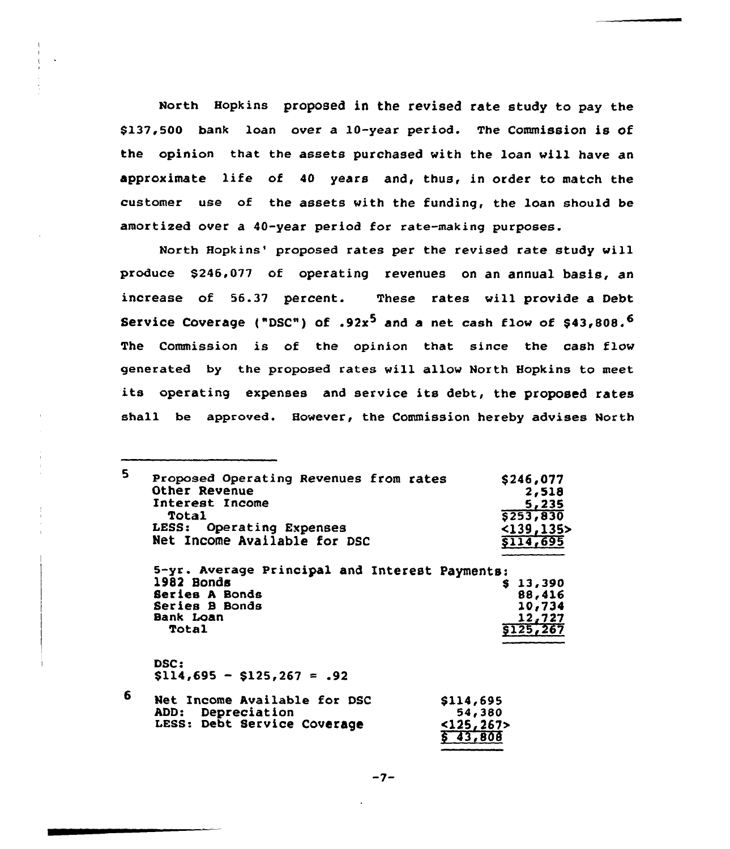North Hopkins proposed in the revised rate study to pay the \$137,500 bank loan over a 10-year period. The Commission is of the opinion that the assets purchased with the loan will have an approximate life of <sup>40</sup> years and, thus, in order to match the customer use of the assets with the funding, the loan should be amortized over a 40-year period for rate-making purposes.

North Hopkins' proposed rates per the revised rate study will produce \$246,077 of operating revenues on an annual basis, an increase of 56.37 percent. These rates will provide a Debt Service Coverage ("DSC") of  $.92x^5$  and a net cash flow of \$43,808.<sup>6</sup> The Commission is of the opinion that since the cash flow generated by the proposed rates will allow North Hopkins to meet its operating expenses and service its debt, the proposed rates shall be approved. However, the Commission hereby advises North

| 5 | Proposed Operating Revenues from rates<br>Other Revenue<br>Interest Income<br>Total<br>LESS: Operating Expenses<br>Net Income Available for DSC | \$246,077<br>2,518<br>5,235<br>\$253,830<br>$<$ 139, 135><br>\$114,695 |
|---|-------------------------------------------------------------------------------------------------------------------------------------------------|------------------------------------------------------------------------|
|   | 5-yr. Average Principal and Interest Payments:<br>1982 Bonds<br>Series A Bonds<br>Series B Bonds<br>Bank Loan<br>Total                          | 13,390<br>S.<br>88,416<br>10,734<br>12,727<br>\$125,267                |
|   | <b>DSC:</b><br>$$114,695 - $125,267 = .92$                                                                                                      |                                                                        |
| 6 | Net Income Available for DSC<br>ADD: Depreciation<br>LESS: Debt Service Coverage                                                                | \$114,695<br>54,380<br><125,267><br>5 43,800                           |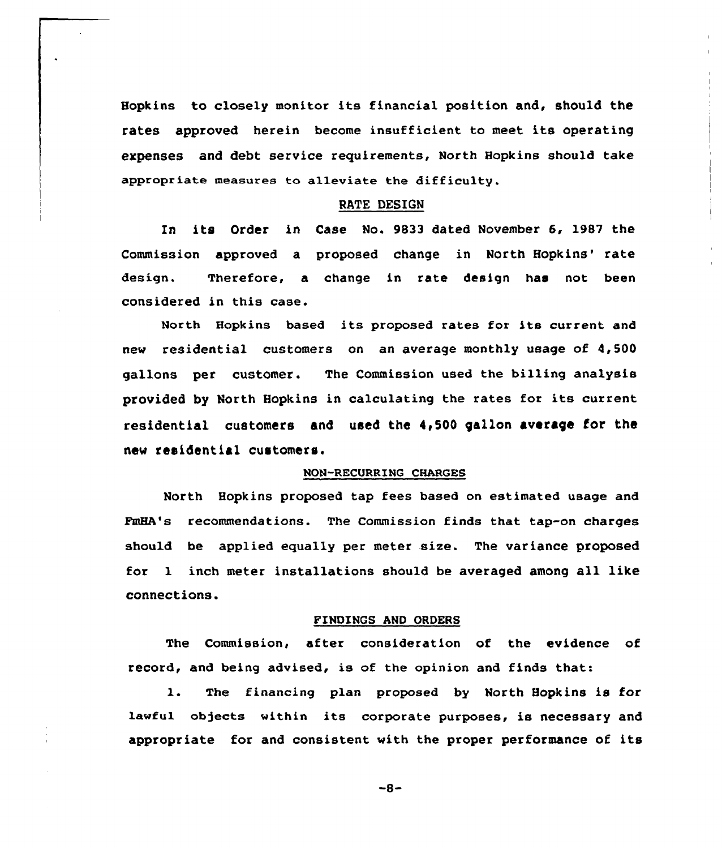Hopkins to closely monitor its financial position and, should the rates approved herein become insufficient to meet its operating erpenses and debt service requirements, North Hopkins should take appropriate measures to alleviate the difficulty.

### RATE DESIGN

In its Order in Case No. 9S33 dated November 6, 1987 the Commission approved a proposed change in North-Hopkins' rate design. Therefore, a change in rate design has not been considered in this case.

North Hopkins based its proposed rates for its current and new residential customers on an average monthly usage of 4,500 gallons per customer. The Commission used the billing analysis provided by North Hopkins in calculating the rates for its current residential customers and used the 4,500 gallon average for the new residential customers.

### NON-RECURRING CHARGES

North Hopkins proposed tap fees based on estimated usage and PmHA's recommendations. The Commission finds that tap-on charges should be applied equally per meter size. The variance proposed for 1 inch meter installations should be averaged among all like connections.

#### FINDINGS AND ORDERS

The Commission, after consideration of the evidence of record, and being advised, is of the opinion and finds that:

1. The financing plan proposed by North Hopkins is for lawful objects within its corporate purposes, is necessary and appropriate for and consistent with the proper performance of its

 $-8-$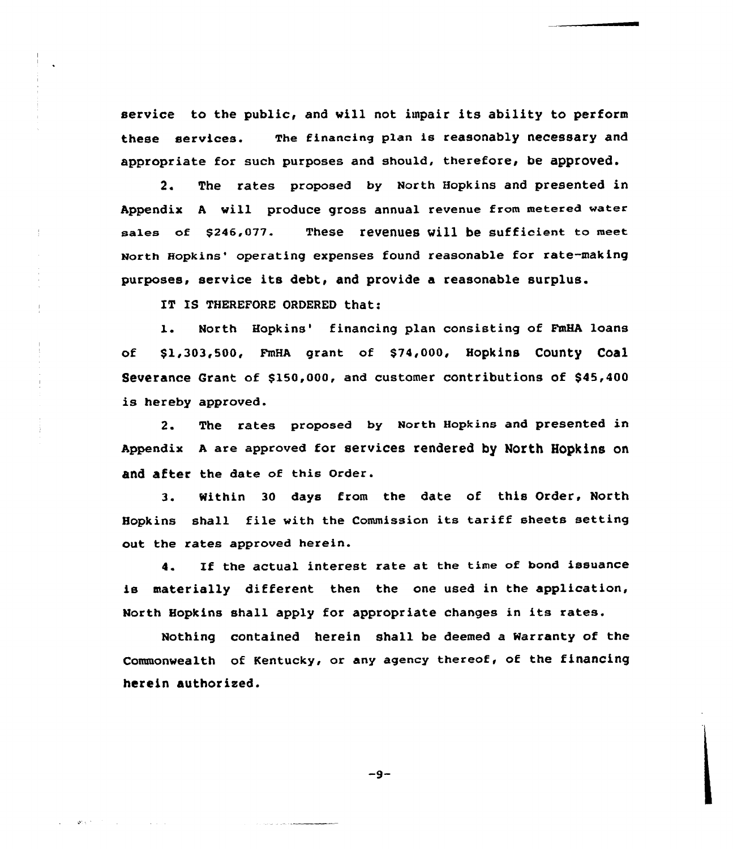service to the public, and vill not impair its ability to perform these services. The financing plan is reasonably necessary and appropriate for such purposes and should, therefore, be approved.

2. The rates proposed by North Hopkins and presented in Appendix <sup>A</sup> vill produce gross annual revenue from metered water sales of \$246,077. These revenues will be sufficient to meet North Hopkins' operating expenses found reasonable for rate-making purposes, service its debt, and provide a reasonable surplus.

IT IS THEREFORE ORDERED that:

 $\sim 28\,\mathrm{g}^{-1}$  ,  $\sim 10^{11}$  ,  $\sim 10^{11}$ 

1T IS THEREFORE ORDERED that:<br>1. North Hopkins' financing plan consisting of FmHA loans of \$1,303,500, FmHA grant of \$74,000, Hopkins County Coal Severance Grant of \$150,000, and customer contributions of \$45,400 is hereby approved.

2. The rates proposed by North Hopkins and presented in Appendix <sup>A</sup> are approved for services rendered by North Hopkins on and after the date of this Order.

3. Within 30 days from the date of this Order, North Hopkins shall file with the Commission its tariff sheets setting out the rates approved herein.

4. If the actual interest rate at the time af bond issuance is materially different then the one used in the application, North Hopkins shall apply for appropriate changes in its rates.

Nothing contained herein shall be deemed a Warranty of the commonwealth of Kentucky, or any agency thereof, of the financing herein authorised.

 $-9-$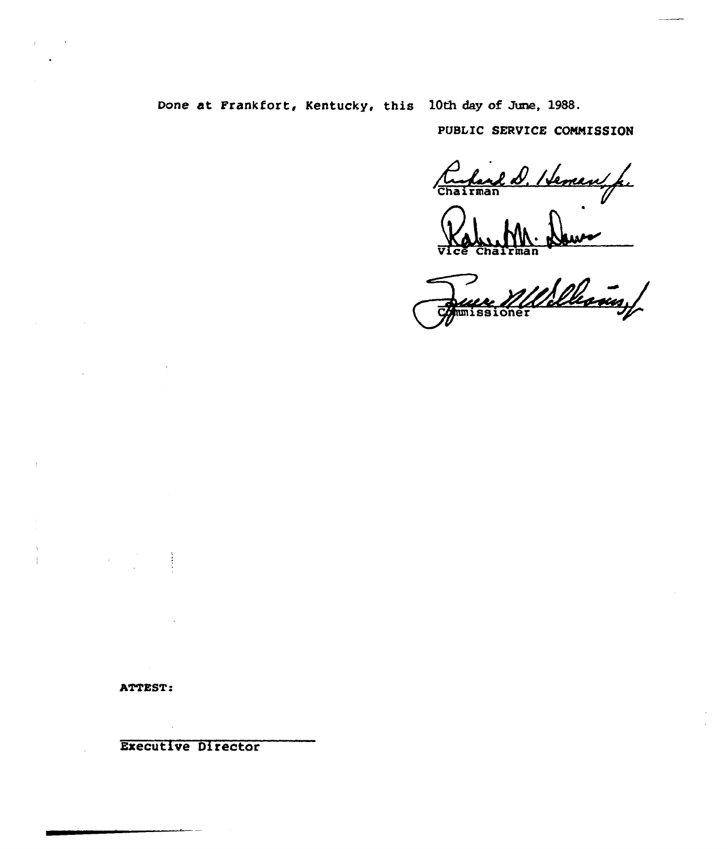Done at Frankfort, Kentucky, this 10th day of June, 1988.

PUBLIC SERVICE COMMISSION

Rubert D. Heman fu

Chairman

Juice Millelesin

ATTEST:

 $\sim 1$ 

 $\mathbb{T}$ 

Executive Director